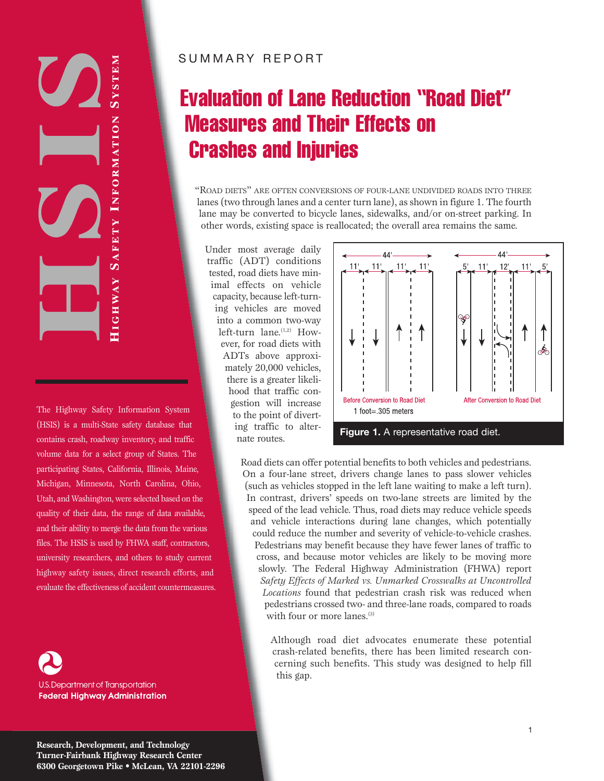# SYSTEN  $\bm{O}$ HIGHWAY SAFETY INFORMATION

The Highway Safety Information System (HSIS) is a multi-State safety database that contains crash, roadway inventory, and traffic volume data for a select group of States. The participating States, California, Illinois, Maine, Michigan, Minnesota, North Carolina, Ohio, Utah, and Washington, were selected based on the quality of their data, the range of data available, and their ability to merge the data from the various files. The HSIS is used by FHWA staff, contractors, university researchers, and others to study current highway safety issues, direct research efforts, and evaluate the effectiveness of accident countermeasures.

U.S. Department of Transportation **Federal Highway Administration** 

### SUMMARY REPORT

# Evaluation of Lane Reduction "Road Diet" Measures and Their Effects on Crashes and Injuries

"ROAD DIETS" ARE OFTEN CONVERSIONS OF FOUR-LANE UNDIVIDED ROADS INTO THREE lanes (two through lanes and a center turn lane), as shown in figure 1. The fourth lane may be converted to bicycle lanes, sidewalks, and/or on-street parking. In other words, existing space is reallocated; the overall area remains the same.

Under most average daily traffic (ADT) conditions tested, road diets have minimal effects on vehicle capacity, because left-turning vehicles are moved into a common two-way left-turn lane. $(1,2)$  However, for road diets with ADTs above approximately 20,000 vehicles, there is a greater likelihood that traffic congestion will increase to the point of diverting traffic to alternate routes.



Road diets can offer potential benefits to both vehicles and pedestrians. On a four-lane street, drivers change lanes to pass slower vehicles (such as vehicles stopped in the left lane waiting to make a left turn). In contrast, drivers' speeds on two-lane streets are limited by the speed of the lead vehicle. Thus, road diets may reduce vehicle speeds and vehicle interactions during lane changes, which potentially could reduce the number and severity of vehicle-to-vehicle crashes. Pedestrians may benefit because they have fewer lanes of traffic to cross, and because motor vehicles are likely to be moving more slowly. The Federal Highway Administration (FHWA) report *Safety Effects of Marked vs. Unmarked Crosswalks at Uncontrolled Locations* found that pedestrian crash risk was reduced when pedestrians crossed two- and three-lane roads, compared to roads with four or more lanes.<sup>(3)</sup>

> Although road diet advocates enumerate these potential crash-related benefits, there has been limited research concerning such benefits. This study was designed to help fill this gap.

**Research, Development, and Technology Turner-Fairbank Highway Research Center 6300 Georgetown Pike • McLean, VA 22101-2296**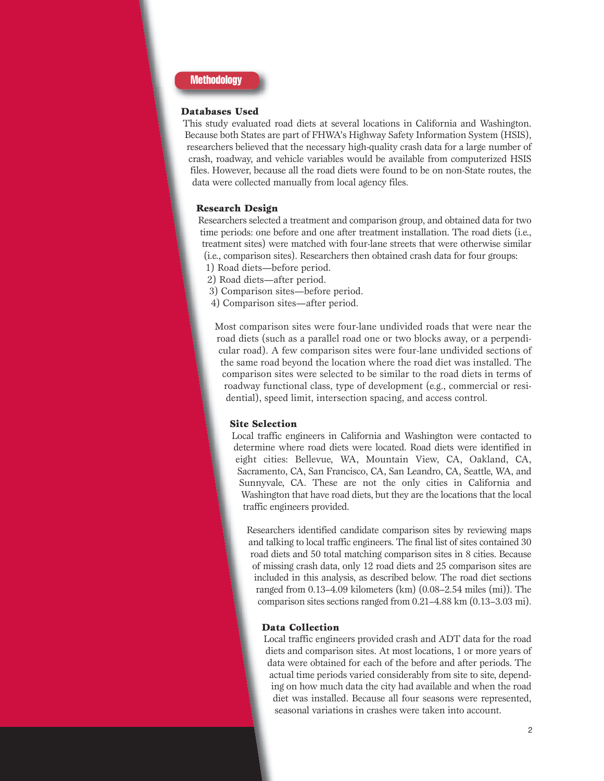

#### **Databases Used**

This study evaluated road diets at several locations in California and Washington. Because both States are part of FHWA's Highway Safety Information System (HSIS), researchers believed that the necessary high-quality crash data for a large number of crash, roadway, and vehicle variables would be available from computerized HSIS files. However, because all the road diets were found to be on non-State routes, the data were collected manually from local agency files.

#### **Research Design**

Researchers selected a treatment and comparison group, and obtained data for two time periods: one before and one after treatment installation. The road diets (i.e., treatment sites) were matched with four-lane streets that were otherwise similar (i.e., comparison sites). Researchers then obtained crash data for four groups:

- 1) Road diets—before period.
- 2) Road diets—after period.
- 3) Comparison sites—before period.
- 4) Comparison sites—after period.

Most comparison sites were four-lane undivided roads that were near the road diets (such as a parallel road one or two blocks away, or a perpendicular road). A few comparison sites were four-lane undivided sections of the same road beyond the location where the road diet was installed. The comparison sites were selected to be similar to the road diets in terms of roadway functional class, type of development (e.g., commercial or residential), speed limit, intersection spacing, and access control.

#### **Site Selection**

Local traffic engineers in California and Washington were contacted to determine where road diets were located. Road diets were identified in eight cities: Bellevue, WA, Mountain View, CA, Oakland, CA, Sacramento, CA, San Francisco, CA, San Leandro, CA, Seattle, WA, and Sunnyvale, CA. These are not the only cities in California and Washington that have road diets, but they are the locations that the local traffic engineers provided.

Researchers identified candidate comparison sites by reviewing maps and talking to local traffic engineers. The final list of sites contained 30 road diets and 50 total matching comparison sites in 8 cities. Because of missing crash data, only 12 road diets and 25 comparison sites are included in this analysis, as described below. The road diet sections ranged from 0.13–4.09 kilometers (km) (0.08–2.54 miles (mi)). The comparison sites sections ranged from 0.21–4.88 km (0.13–3.03 mi).

#### **Data Collection**

Local traffic engineers provided crash and ADT data for the road diets and comparison sites. At most locations, 1 or more years of data were obtained for each of the before and after periods. The actual time periods varied considerably from site to site, depending on how much data the city had available and when the road diet was installed. Because all four seasons were represented, seasonal variations in crashes were taken into account.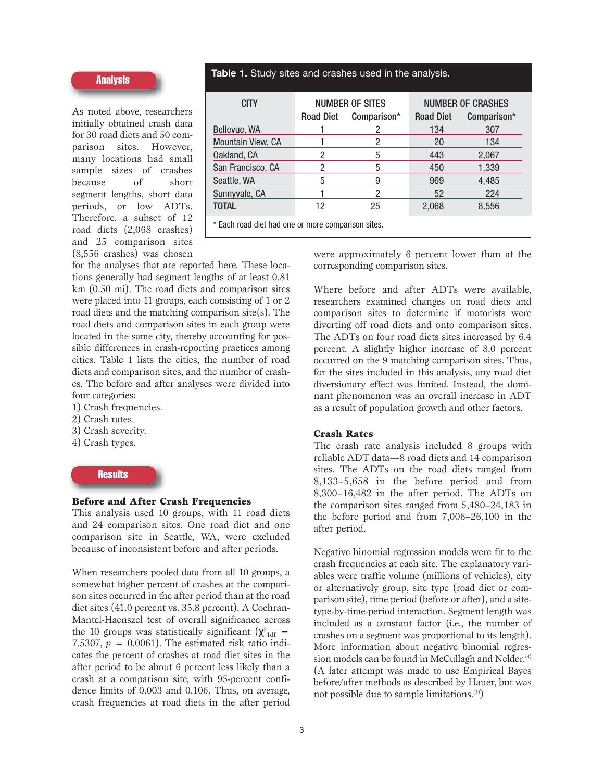#### **Analysis**

As noted above, researchers initially obtained crash data for 30 road diets and 50 comparison sites. However, many locations had small sample sizes of crashes because of short segment lengths, short data periods, or low ADTs. Therefore, a subset of 12 road diets (2,068 crashes) and 25 comparison sites (8,556 crashes) was chosen

**Table 1.** Study sites and crashes used in the analysis.

| <b>CITY</b>                                        |                  | <b>NUMBER OF SITES</b> | <b>NUMBER OF CRASHES</b> |             |  |  |
|----------------------------------------------------|------------------|------------------------|--------------------------|-------------|--|--|
|                                                    | <b>Road Diet</b> | Comparison*            | <b>Road Diet</b>         | Comparison* |  |  |
| Bellevue, WA                                       |                  |                        | 134                      | 307         |  |  |
| <b>Mountain View, CA</b>                           |                  | 2                      | 20                       | 134         |  |  |
| Oakland, CA                                        | 2                | 5                      | 443                      | 2,067       |  |  |
| San Francisco, CA                                  | 2                | 5                      | 450                      | 1,339       |  |  |
| Seattle, WA                                        | 5                | 9                      | 969                      | 4,485       |  |  |
| Sunnyvale, CA                                      |                  | 2                      | 52                       | 224         |  |  |
| <b>TOTAL</b>                                       | 12               | 25                     | 2,068                    | 8,556       |  |  |
| * Each road diet had one or more comparison sites. |                  |                        |                          |             |  |  |

for the analyses that are reported here. These locations generally had segment lengths of at least 0.81 km (0.50 mi). The road diets and comparison sites were placed into 11 groups, each consisting of 1 or 2 road diets and the matching comparison site(s). The road diets and comparison sites in each group were located in the same city, thereby accounting for possible differences in crash-reporting practices among cities. Table 1 lists the cities, the number of road diets and comparison sites, and the number of crashes. The before and after analyses were divided into four categories:

- 1) Crash frequencies.
- 2) Crash rates.
- 3) Crash severity.
- 4) Crash types.

#### **Results**

#### **Before and After Crash Frequencies**

This analysis used 10 groups, with 11 road diets and 24 comparison sites. One road diet and one comparison site in Seattle, WA, were excluded because of inconsistent before and after periods.

When researchers pooled data from all 10 groups, a somewhat higher percent of crashes at the comparison sites occurred in the after period than at the road diet sites (41.0 percent vs. 35.8 percent). A Cochran-Mantel-Haenszel test of overall significance across the 10 groups was statistically significant  $(\chi^2)_{\text{1df}} =$ 7.5307,  $p = 0.0061$ ). The estimated risk ratio indicates the percent of crashes at road diet sites in the after period to be about 6 percent less likely than a crash at a comparison site, with 95-percent confidence limits of 0.003 and 0.106. Thus, on average, crash frequencies at road diets in the after period

were approximately 6 percent lower than at the corresponding comparison sites.

Where before and after ADTs were available, researchers examined changes on road diets and comparison sites to determine if motorists were diverting off road diets and onto comparison sites. The ADTs on four road diets sites increased by 6.4 percent. A slightly higher increase of 8.0 percent occurred on the 9 matching comparison sites. Thus, for the sites included in this analysis, any road diet diversionary effect was limited. Instead, the dominant phenomenon was an overall increase in ADT as a result of population growth and other factors.

#### **Crash Rates**

The crash rate analysis included 8 groups with reliable ADT data—8 road diets and 14 comparison sites. The ADTs on the road diets ranged from 8,133–5,658 in the before period and from 8,300–16,482 in the after period. The ADTs on the comparison sites ranged from 5,480–24,183 in the before period and from 7,006–26,100 in the after period.

Negative binomial regression models were fit to the crash frequencies at each site. The explanatory variables were traffic volume (millions of vehicles), city or alternatively group, site type (road diet or comparison site), time period (before or after), and a sitetype-by-time-period interaction. Segment length was included as a constant factor (i.e., the number of crashes on a segment was proportional to its length). More information about negative binomial regression models can be found in McCullagh and Nelder.<sup>(4)</sup> (A later attempt was made to use Empirical Bayes before/after methods as described by Hauer, but was not possible due to sample limitations.(5))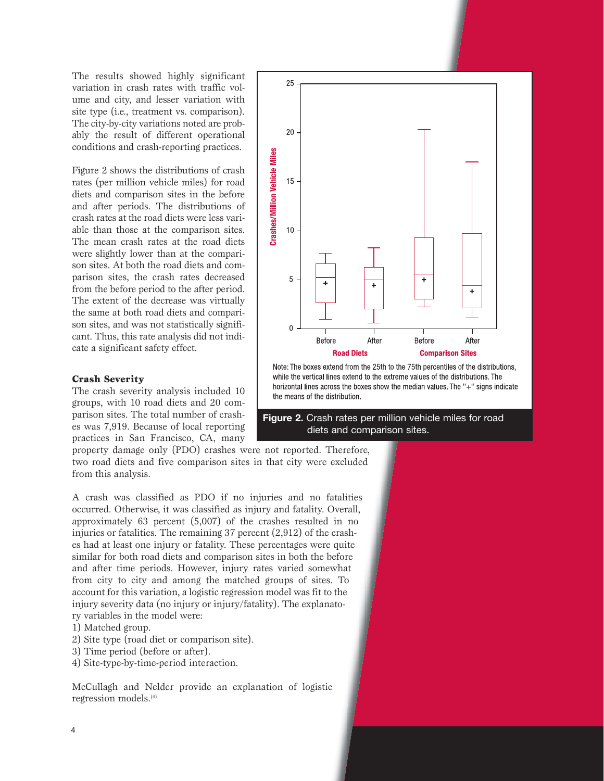The results showed highly significant variation in crash rates with traffic volume and city, and lesser variation with site type (i.e., treatment vs. comparison). The city-by-city variations noted are probably the result of different operational conditions and crash-reporting practices.

Figure 2 shows the distributions of crash rates (per million vehicle miles) for road diets and comparison sites in the before and after periods. The distributions of crash rates at the road diets were less variable than those at the comparison sites. The mean crash rates at the road diets were slightly lower than at the comparison sites. At both the road diets and comparison sites, the crash rates decreased from the before period to the after period. The extent of the decrease was virtually the same at both road diets and comparison sites, and was not statistically significant. Thus, this rate analysis did not indicate a significant safety effect.

#### **Crash Severity**

The crash severity analysis included 10 groups, with 10 road diets and 20 comparison sites. The total number of crashes was 7,919. Because of local reporting practices in San Francisco, CA, many

property damage only (PDO) crashes were not reported. Therefore, two road diets and five comparison sites in that city were excluded from this analysis.

A crash was classified as PDO if no injuries and no fatalities occurred. Otherwise, it was classified as injury and fatality. Overall, approximately 63 percent (5,007) of the crashes resulted in no injuries or fatalities. The remaining 37 percent (2,912) of the crashes had at least one injury or fatality. These percentages were quite similar for both road diets and comparison sites in both the before and after time periods. However, injury rates varied somewhat from city to city and among the matched groups of sites. To account for this variation, a logistic regression model was fit to the injury severity data (no injury or injury/fatality). The explanatory variables in the model were:

1) Matched group.

- 2) Site type (road diet or comparison site).
- 3) Time period (before or after).
- 4) Site-type-by-time-period interaction.

McCullagh and Nelder provide an explanation of logistic regression models.<sup>(4)</sup>



**Figure 2.** Crash rates per million vehicle miles for road diets and comparison sites.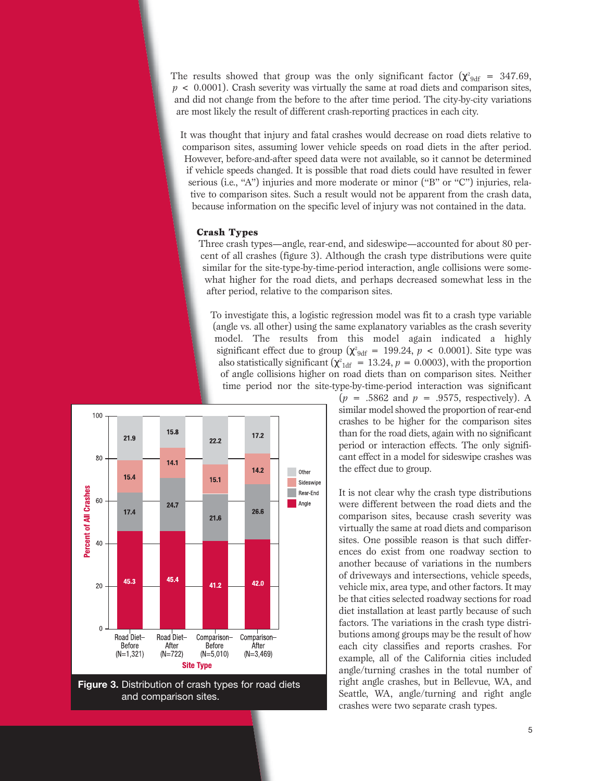The results showed that group was the only significant factor  $(\chi^2_{\text{9df}} = 347.69,$ *p* < 0.0001). Crash severity was virtually the same at road diets and comparison sites, and did not change from the before to the after time period. The city-by-city variations are most likely the result of different crash-reporting practices in each city.

It was thought that injury and fatal crashes would decrease on road diets relative to comparison sites, assuming lower vehicle speeds on road diets in the after period. However, before-and-after speed data were not available, so it cannot be determined if vehicle speeds changed. It is possible that road diets could have resulted in fewer serious (i.e., "A") injuries and more moderate or minor ("B" or "C") injuries, relative to comparison sites. Such a result would not be apparent from the crash data, because information on the specific level of injury was not contained in the data.

#### **Crash Types**

Three crash types—angle, rear-end, and sideswipe—accounted for about 80 percent of all crashes (figure 3). Although the crash type distributions were quite similar for the site-type-by-time-period interaction, angle collisions were somewhat higher for the road diets, and perhaps decreased somewhat less in the after period, relative to the comparison sites.

To investigate this, a logistic regression model was fit to a crash type variable (angle vs. all other) using the same explanatory variables as the crash severity model. The results from this model again indicated a highly significant effect due to group ( $\chi^2_{9df} = 199.24$ ,  $p < 0.0001$ ). Site type was also statistically significant ( $\chi^2_{\text{1df}} = 13.24$ ,  $p = 0.0003$ ), with the proportion of angle collisions higher on road diets than on comparison sites. Neither time period nor the site-type-by-time-period interaction was significant



**Figure 3.** Distribution of crash types for road diets and comparison sites.

 $(p = .5862 \text{ and } p = .9575, \text{ respectively}).$  A similar model showed the proportion of rear-end crashes to be higher for the comparison sites than for the road diets, again with no significant period or interaction effects. The only significant effect in a model for sideswipe crashes was the effect due to group.

It is not clear why the crash type distributions were different between the road diets and the comparison sites, because crash severity was virtually the same at road diets and comparison sites. One possible reason is that such differences do exist from one roadway section to another because of variations in the numbers of driveways and intersections, vehicle speeds, vehicle mix, area type, and other factors. It may be that cities selected roadway sections for road diet installation at least partly because of such factors. The variations in the crash type distributions among groups may be the result of how each city classifies and reports crashes. For example, all of the California cities included angle/turning crashes in the total number of right angle crashes, but in Bellevue, WA, and Seattle, WA, angle/turning and right angle crashes were two separate crash types.